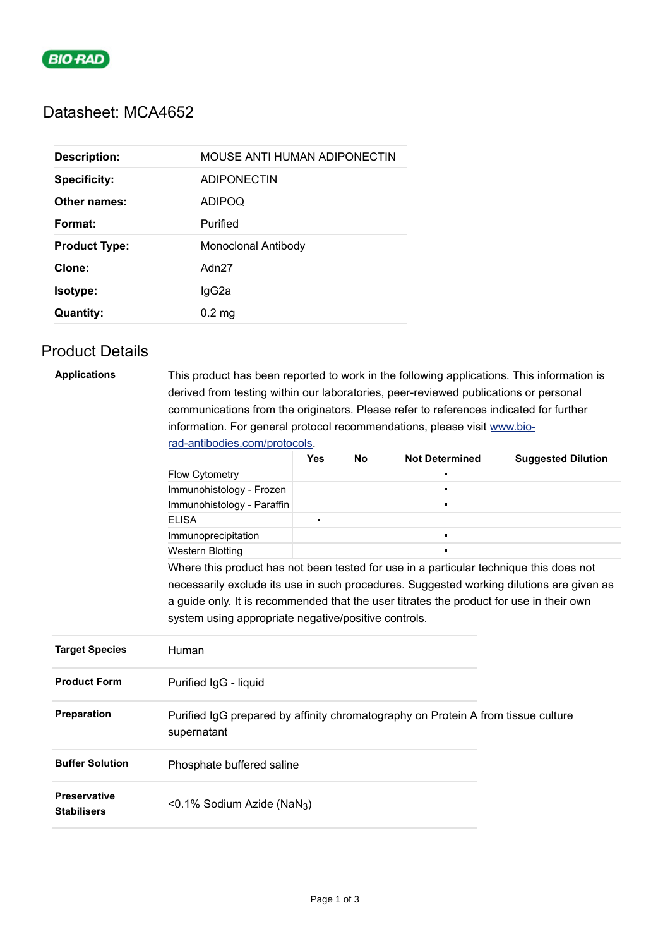

## Datasheet: MCA4652

| <b>Description:</b>  | MOUSE ANTI HUMAN ADIPONECTIN |
|----------------------|------------------------------|
| <b>Specificity:</b>  | <b>ADIPONECTIN</b>           |
| Other names:         | <b>ADIPOQ</b>                |
| Format:              | Purified                     |
| <b>Product Type:</b> | <b>Monoclonal Antibody</b>   |
| Clone:               | Adn <sub>27</sub>            |
| Isotype:             | lgG2a                        |
| <b>Quantity:</b>     | $0.2 \text{ mg}$             |

# Product Details

| <b>Applications</b>                       | This product has been reported to work in the following applications. This information is        |                                                                                          |    |                       |                           |  |  |
|-------------------------------------------|--------------------------------------------------------------------------------------------------|------------------------------------------------------------------------------------------|----|-----------------------|---------------------------|--|--|
|                                           | derived from testing within our laboratories, peer-reviewed publications or personal             |                                                                                          |    |                       |                           |  |  |
|                                           | communications from the originators. Please refer to references indicated for further            |                                                                                          |    |                       |                           |  |  |
|                                           | information. For general protocol recommendations, please visit www.bio-                         |                                                                                          |    |                       |                           |  |  |
|                                           | rad-antibodies.com/protocols.                                                                    |                                                                                          |    |                       |                           |  |  |
|                                           |                                                                                                  | <b>Yes</b>                                                                               | No | <b>Not Determined</b> | <b>Suggested Dilution</b> |  |  |
|                                           | <b>Flow Cytometry</b>                                                                            |                                                                                          |    |                       |                           |  |  |
|                                           | Immunohistology - Frozen                                                                         |                                                                                          |    | F                     |                           |  |  |
|                                           | Immunohistology - Paraffin                                                                       |                                                                                          |    | П                     |                           |  |  |
|                                           | <b>ELISA</b>                                                                                     | n,                                                                                       |    |                       |                           |  |  |
|                                           | Immunoprecipitation                                                                              |                                                                                          |    | п                     |                           |  |  |
|                                           | <b>Western Blotting</b>                                                                          |                                                                                          |    |                       |                           |  |  |
|                                           | Where this product has not been tested for use in a particular technique this does not           |                                                                                          |    |                       |                           |  |  |
|                                           |                                                                                                  | necessarily exclude its use in such procedures. Suggested working dilutions are given as |    |                       |                           |  |  |
|                                           | a guide only. It is recommended that the user titrates the product for use in their own          |                                                                                          |    |                       |                           |  |  |
|                                           | system using appropriate negative/positive controls.                                             |                                                                                          |    |                       |                           |  |  |
|                                           |                                                                                                  |                                                                                          |    |                       |                           |  |  |
| <b>Target Species</b>                     | Human                                                                                            |                                                                                          |    |                       |                           |  |  |
| <b>Product Form</b>                       | Purified IgG - liquid                                                                            |                                                                                          |    |                       |                           |  |  |
| Preparation                               | Purified IgG prepared by affinity chromatography on Protein A from tissue culture<br>supernatant |                                                                                          |    |                       |                           |  |  |
| <b>Buffer Solution</b>                    | Phosphate buffered saline                                                                        |                                                                                          |    |                       |                           |  |  |
| <b>Preservative</b><br><b>Stabilisers</b> | <0.1% Sodium Azide (NaN <sub>3</sub> )                                                           |                                                                                          |    |                       |                           |  |  |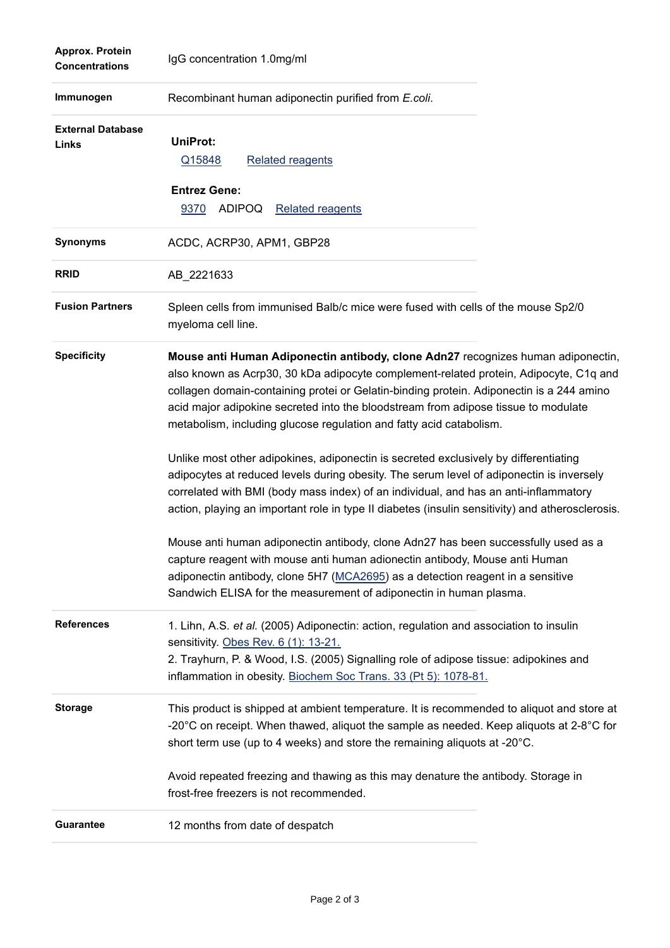| Approx. Protein<br><b>Concentrations</b> | IgG concentration 1.0mg/ml                                                                                                                                                                                                                                                                                                                                                                                                         |
|------------------------------------------|------------------------------------------------------------------------------------------------------------------------------------------------------------------------------------------------------------------------------------------------------------------------------------------------------------------------------------------------------------------------------------------------------------------------------------|
| Immunogen                                | Recombinant human adiponectin purified from E.coli.                                                                                                                                                                                                                                                                                                                                                                                |
| <b>External Database</b><br>Links        | <b>UniProt:</b><br><b>Related reagents</b><br>Q15848                                                                                                                                                                                                                                                                                                                                                                               |
|                                          | <b>Entrez Gene:</b><br><b>ADIPOQ</b><br>9370<br><b>Related reagents</b>                                                                                                                                                                                                                                                                                                                                                            |
| <b>Synonyms</b>                          | ACDC, ACRP30, APM1, GBP28                                                                                                                                                                                                                                                                                                                                                                                                          |
| <b>RRID</b>                              | AB 2221633                                                                                                                                                                                                                                                                                                                                                                                                                         |
| <b>Fusion Partners</b>                   | Spleen cells from immunised Balb/c mice were fused with cells of the mouse Sp2/0<br>myeloma cell line.                                                                                                                                                                                                                                                                                                                             |
| <b>Specificity</b>                       | Mouse anti Human Adiponectin antibody, clone Adn27 recognizes human adiponectin,<br>also known as Acrp30, 30 kDa adipocyte complement-related protein, Adipocyte, C1q and<br>collagen domain-containing protei or Gelatin-binding protein. Adiponectin is a 244 amino<br>acid major adipokine secreted into the bloodstream from adipose tissue to modulate<br>metabolism, including glucose regulation and fatty acid catabolism. |
|                                          | Unlike most other adipokines, adiponectin is secreted exclusively by differentiating<br>adipocytes at reduced levels during obesity. The serum level of adiponectin is inversely<br>correlated with BMI (body mass index) of an individual, and has an anti-inflammatory<br>action, playing an important role in type II diabetes (insulin sensitivity) and atherosclerosis.                                                       |
|                                          | Mouse anti human adiponectin antibody, clone Adn27 has been successfully used as a<br>capture reagent with mouse anti human adionectin antibody, Mouse anti Human<br>adiponectin antibody, clone 5H7 (MCA2695) as a detection reagent in a sensitive<br>Sandwich ELISA for the measurement of adiponectin in human plasma.                                                                                                         |
| <b>References</b>                        | 1. Lihn, A.S. et al. (2005) Adiponectin: action, regulation and association to insulin<br>sensitivity. Obes Rev. 6 (1): 13-21.<br>2. Trayhurn, P. & Wood, I.S. (2005) Signalling role of adipose tissue: adipokines and<br>inflammation in obesity. Biochem Soc Trans. 33 (Pt 5): 1078-81.                                                                                                                                         |
| <b>Storage</b>                           | This product is shipped at ambient temperature. It is recommended to aliquot and store at<br>-20 $^{\circ}$ C on receipt. When thawed, aliquot the sample as needed. Keep aliquots at 2-8 $^{\circ}$ C for<br>short term use (up to 4 weeks) and store the remaining aliquots at -20°C.                                                                                                                                            |
|                                          | Avoid repeated freezing and thawing as this may denature the antibody. Storage in<br>frost-free freezers is not recommended.                                                                                                                                                                                                                                                                                                       |
| <b>Guarantee</b>                         | 12 months from date of despatch                                                                                                                                                                                                                                                                                                                                                                                                    |